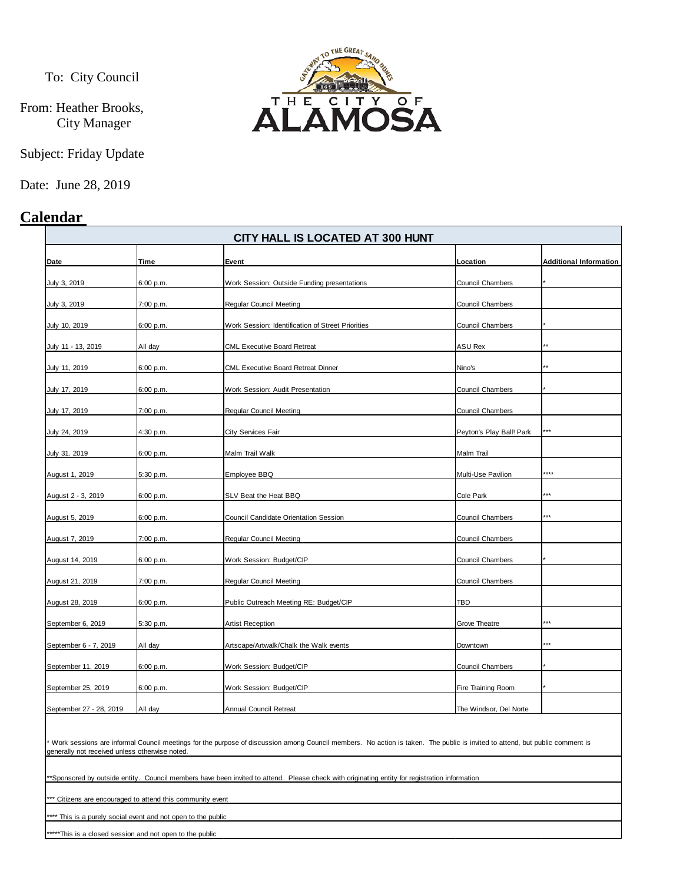To: City Council

From: Heather Brooks, City Manager

Subject: Friday Update

Date: June 28, 2019

# **Calendar**



| CITY HALL IS LOCATED AT 300 HUNT |           |                                                   |                          |                               |
|----------------------------------|-----------|---------------------------------------------------|--------------------------|-------------------------------|
| Date                             | Time      | Event                                             | Location                 | <b>Additional Information</b> |
| July 3, 2019                     | 6:00 p.m. | Work Session: Outside Funding presentations       | <b>Council Chambers</b>  |                               |
| July 3, 2019                     | 7:00 p.m. | <b>Regular Council Meeting</b>                    | Council Chambers         |                               |
| July 10, 2019                    | 6:00 p.m. | Work Session: Identification of Street Priorities | Council Chambers         |                               |
| July 11 - 13, 2019               | All day   | <b>CML Executive Board Retreat</b>                | ASU Rex                  |                               |
| July 11, 2019                    | 6:00 p.m. | <b>CML Executive Board Retreat Dinner</b>         | Nino's                   |                               |
| July 17, 2019                    | 6:00 p.m. | Work Session: Audit Presentation                  | Council Chambers         |                               |
| July 17, 2019                    | 7:00 p.m. | <b>Regular Council Meeting</b>                    | Council Chambers         |                               |
| July 24, 2019                    | 4:30 p.m. | <b>City Services Fair</b>                         | Peyton's Play Ball! Park | ***                           |
| July 31. 2019                    | 6:00 p.m. | Malm Trail Walk                                   | Malm Trail               |                               |
| August 1, 2019                   | 5:30 p.m. | Employee BBQ                                      | Multi-Use Pavilion       | ****                          |
| August 2 - 3, 2019               | 6:00 p.m. | SLV Beat the Heat BBQ                             | Cole Park                | ***                           |
| August 5, 2019                   | 6:00 p.m. | Council Candidate Orientation Session             | <b>Council Chambers</b>  | ***                           |
| August 7, 2019                   | 7:00 p.m. | <b>Regular Council Meeting</b>                    | Council Chambers         |                               |
| August 14, 2019                  | 6:00 p.m. | Work Session: Budget/CIP                          | Council Chambers         |                               |
| August 21, 2019                  | 7:00 p.m. | <b>Regular Council Meeting</b>                    | Council Chambers         |                               |
| August 28, 2019                  | 6:00 p.m. | Public Outreach Meeting RE: Budget/CIP            | TBD                      |                               |
| September 6, 2019                | 5:30 p.m. | <b>Artist Reception</b>                           | Grove Theatre            | t**                           |
| September 6 - 7, 2019            | All day   | Artscape/Artwalk/Chalk the Walk events            | Downtown                 | k**                           |
| September 11, 2019               | 6:00 p.m. | Work Session: Budget/CIP                          | Council Chambers         |                               |
| September 25, 2019               | 6:00 p.m. | Work Session: Budget/CIP                          | Fire Training Room       |                               |
| September 27 - 28, 2019          | All day   | Annual Council Retreat                            | The Windsor, Del Norte   |                               |

Work sessions are informal Council meetings for the purpose of discussion among Council members. No action is taken. The public is invited to attend, but public comment is generally not received unless otherwise noted.

\*\*Sponsored by outside entity. Council members have been invited to attend. Please check with originating entity for registration information

\*\* Citizens are encouraged to attend this community event

\*\*\* This is a purely social event and not open to the public

\*\*\*\*\*This is a closed session and not open to the public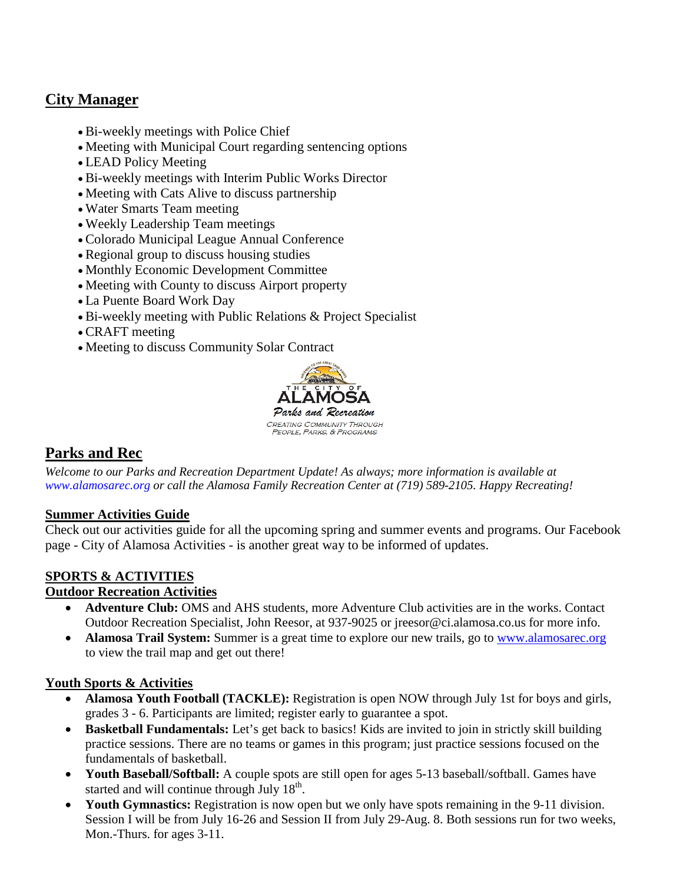# **City Manager**

- Bi-weekly meetings with Police Chief
- Meeting with Municipal Court regarding sentencing options
- LEAD Policy Meeting
- Bi-weekly meetings with Interim Public Works Director
- Meeting with Cats Alive to discuss partnership
- Water Smarts Team meeting
- Weekly Leadership Team meetings
- Colorado Municipal League Annual Conference
- Regional group to discuss housing studies
- Monthly Economic Development Committee
- Meeting with County to discuss Airport property
- La Puente Board Work Day
- Bi-weekly meeting with Public Relations & Project Specialist
- CRAFT meeting
- Meeting to discuss Community Solar Contract



## **Parks and Rec**

*Welcome to our Parks and Recreation Department Update! As always; more information is available at [www.alamosarec.org](http://www.alamosarec.org/) or call the Alamosa Family Recreation Center at (719) 589-2105. Happy Recreating!*

#### **Summer Activities Guide**

Check out our activities guide for all the upcoming spring and summer events and programs. Our Facebook page - City of Alamosa Activities - is another great way to be informed of updates.

#### **SPORTS & ACTIVITIES**

#### **Outdoor Recreation Activities**

- **Adventure Club:** OMS and AHS students, more Adventure Club activities are in the works. Contact Outdoor Recreation Specialist, John Reesor, at 937-9025 or jreesor@ci.alamosa.co.us for more info.
- **Alamosa Trail System:** Summer is a great time to explore our new trails, go to www.alamosarec.org to view the trail map and get out there!

#### **Youth Sports & Activities**

- **Alamosa Youth Football (TACKLE):** Registration is open NOW through July 1st for boys and girls, grades 3 - 6. Participants are limited; register early to guarantee a spot.
- **Basketball Fundamentals:** Let's get back to basics! Kids are invited to join in strictly skill building practice sessions. There are no teams or games in this program; just practice sessions focused on the fundamentals of basketball.
- **Youth Baseball/Softball:** A couple spots are still open for ages 5-13 baseball/softball. Games have started and will continue through July 18<sup>th</sup>.
- **Youth Gymnastics:** Registration is now open but we only have spots remaining in the 9-11 division. Session I will be from July 16-26 and Session II from July 29-Aug. 8. Both sessions run for two weeks, Mon.-Thurs. for ages 3-11.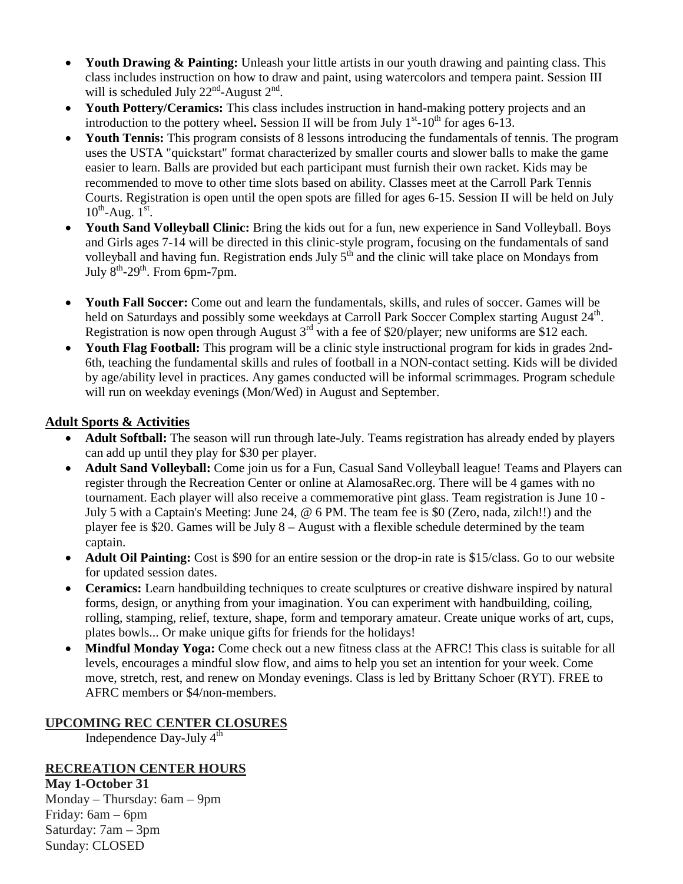- **Youth Drawing & Painting:** Unleash your little artists in our youth drawing and painting class. This class includes instruction on how to draw and paint, using watercolors and tempera paint. Session III will is scheduled July  $22<sup>nd</sup>$ -August  $2<sup>nd</sup>$ .
- **Youth Pottery/Ceramics:** This class includes instruction in hand-making pottery projects and an introduction to the pottery wheel. Session II will be from July  $1<sup>st</sup>$ -10<sup>th</sup> for ages 6-13.
- **Youth Tennis:** This program consists of 8 lessons introducing the fundamentals of tennis. The program uses the USTA "quickstart" format characterized by smaller courts and slower balls to make the game easier to learn. Balls are provided but each participant must furnish their own racket. Kids may be recommended to move to other time slots based on ability. Classes meet at the Carroll Park Tennis Courts. Registration is open until the open spots are filled for ages 6-15. Session II will be held on July  $10^{th}$ -Aug.  $1^{st}$ .
- **Youth Sand Volleyball Clinic:** Bring the kids out for a fun, new experience in Sand Volleyball. Boys and Girls ages 7-14 will be directed in this clinic-style program, focusing on the fundamentals of sand volleyball and having fun. Registration ends July  $5<sup>th</sup>$  and the clinic will take place on Mondays from July  $8<sup>th</sup> - 29<sup>th</sup>$ . From 6pm-7pm.
- **Youth Fall Soccer:** Come out and learn the fundamentals, skills, and rules of soccer. Games will be held on Saturdays and possibly some weekdays at Carroll Park Soccer Complex starting August 24<sup>th</sup>. Registration is now open through August 3<sup>rd</sup> with a fee of \$20/player; new uniforms are \$12 each.
- **Youth Flag Football:** This program will be a clinic style instructional program for kids in grades 2nd-6th, teaching the fundamental skills and rules of football in a NON-contact setting. Kids will be divided by age/ability level in practices. Any games conducted will be informal scrimmages. Program schedule will run on weekday evenings (Mon/Wed) in August and September.

#### **Adult Sports & Activities**

- **Adult Softball:** The season will run through late-July. Teams registration has already ended by players can add up until they play for \$30 per player.
- **Adult Sand Volleyball:** Come join us for a Fun, Casual Sand Volleyball league! Teams and Players can register through the Recreation Center or online at AlamosaRec.org. There will be 4 games with no tournament. Each player will also receive a commemorative pint glass. Team registration is June 10 - July 5 with a Captain's Meeting: June 24, @ 6 PM. The team fee is \$0 (Zero, nada, zilch!!) and the player fee is \$20. Games will be July 8 – August with a flexible schedule determined by the team captain.
- **Adult Oil Painting:** Cost is \$90 for an entire session or the drop-in rate is \$15/class. Go to our website for updated session dates.
- **Ceramics:** Learn handbuilding techniques to create sculptures or creative dishware inspired by natural forms, design, or anything from your imagination. You can experiment with handbuilding, coiling, rolling, stamping, relief, texture, shape, form and temporary amateur. Create unique works of art, cups, plates bowls... Or make unique gifts for friends for the holidays!
- **Mindful Monday Yoga:** Come check out a new fitness class at the AFRC! This class is suitable for all levels, encourages a mindful slow flow, and aims to help you set an intention for your week. Come move, stretch, rest, and renew on Monday evenings. Class is led by Brittany Schoer (RYT). FREE to AFRC members or \$4/non-members.

#### **UPCOMING REC CENTER CLOSURES**

Independence Day-July 4th

### **RECREATION CENTER HOURS**

**May 1-October 31** Monday – Thursday: 6am – 9pm Friday: 6am – 6pm Saturday: 7am – 3pm Sunday: CLOSED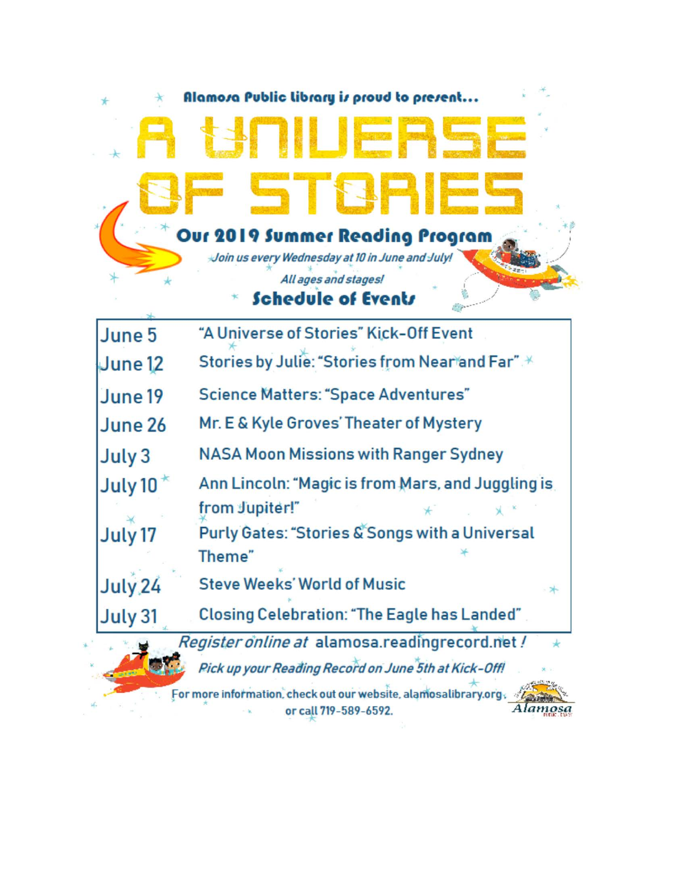

For more information, check out our website, alamosalibrary.org, or call 719-589-6592.

Alamosa